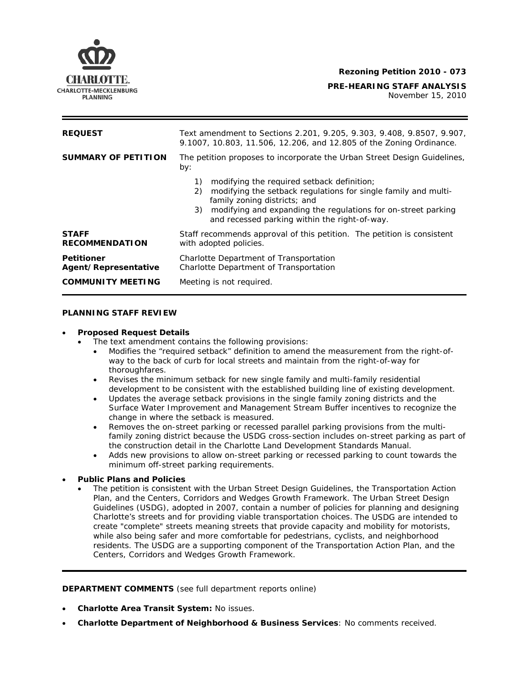

November 15, 2010

| <b>REQUEST</b>                            | Text amendment to Sections 2.201, 9.205, 9.303, 9.408, 9.8507, 9.907,<br>9.1007, 10.803, 11.506, 12.206, and 12.805 of the Zoning Ordinance.                                                                                                                                     |
|-------------------------------------------|----------------------------------------------------------------------------------------------------------------------------------------------------------------------------------------------------------------------------------------------------------------------------------|
| <b>SUMMARY OF PETITION</b>                | The petition proposes to incorporate the Urban Street Design Guidelines,<br>by:                                                                                                                                                                                                  |
|                                           | modifying the required setback definition;<br>1)<br>modifying the setback regulations for single family and multi-<br>2)<br>family zoning districts; and<br>modifying and expanding the regulations for on-street parking<br>3)<br>and recessed parking within the right-of-way. |
| <b>STAFF</b><br><b>RECOMMENDATION</b>     | Staff recommends approval of this petition. The petition is consistent<br>with adopted policies.                                                                                                                                                                                 |
| <b>Petitioner</b><br>Agent/Representative | Charlotte Department of Transportation<br>Charlotte Department of Transportation                                                                                                                                                                                                 |
| <b>COMMUNITY MEETING</b>                  | Meeting is not required.                                                                                                                                                                                                                                                         |

## **PLANNING STAFF REVIEW**

#### • **Proposed Request Details**

The text amendment contains the following provisions:

- Modifies the "required setback" definition to amend the measurement from the right-ofway to the back of curb for local streets and maintain from the right-of-way for thoroughfares.
- Revises the minimum setback for new single family and multi-family residential development to be consistent with the established building line of existing development.
- Updates the average setback provisions in the single family zoning districts and the Surface Water Improvement and Management Stream Buffer incentives to recognize the change in where the setback is measured.
- family zoning district because the *USDG* cross-section includes on-street parking as part of • Removes the on-street parking or recessed parallel parking provisions from the multithe construction detail in the *Charlotte Land Development Standards Manual*.
- Adds new provisions to allow on-street parking or recessed parking to count towards the minimum off-street parking requirements.

# • **Public Plans and Policies**

• The petition is consistent with the *Urban Street Design Guidelines*, the *Transportation Action Plan*, and the *Centers, Corridors and Wedges Growth Framework*. The *Urban Street Design*  Guidelines (USDG), adopted in 2007, contain a number of policies for planning and designing Charlotte's streets and for providing viable transportation choices. The *USDG* are intended to create "complete" streets meaning streets that provide capacity and mobility for motorists, while also being safer and more comfortable for pedestrians, cyclists, and neighborhood residents. The *USDG* are a supporting component of the *Transportation Action Plan*, and the *Centers, Corridors and Wedges Growth Framework*.

**DEPARTMENT COMMENTS** (see full department reports online)

- **Charlotte Area Transit System:** No issues.
- **Charlotte Department of Neighborhood & Business Services**: No comments received.